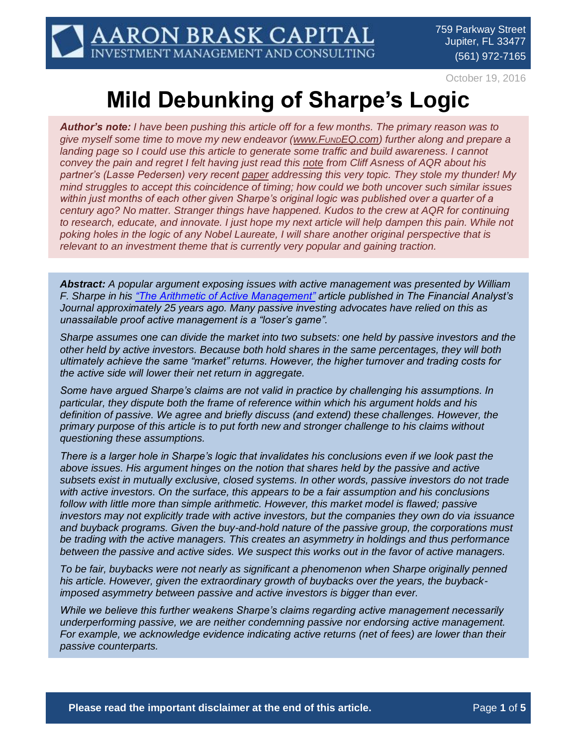October 19, 2016

# **Mild Debunking of Sharpe's Logic**

*Author's note: I have been pushing this article off for a few months. The primary reason was to give myself some time to move my new endeavor (www.F<sub><i>UND[EQ.com\)](http://www.fundeq.com/)*</sub> further along and prepare a *landing page so I could use this article to generate some traffic and build awareness. I cannot convey the pain and regret I felt having just read this [note](https://www.aqr.com/cliffs-perspective/turning-over-accepted-wisdom-with-turnover) from Cliff Asness of AQR about his partner's (Lasse Pedersen) very recent [paper](https://papers.ssrn.com/sol3/papers.cfm?abstract_id=2849071) addressing this very topic. They stole my thunder! My mind struggles to accept this coincidence of timing; how could we both uncover such similar issues within just months of each other given Sharpe's original logic was published over a quarter of a century ago? No matter. Stranger things have happened. Kudos to the crew at AQR for continuing to research, educate, and innovate. I just hope my next article will help dampen this pain. While not poking holes in the logic of any Nobel Laureate, I will share another original perspective that is relevant to an investment theme that is currently very popular and gaining traction.*

*Abstract: A popular argument exposing issues with active management was presented by William F. Sharpe in his ["The Arithmetic of Active Management"](https://web.stanford.edu/~wfsharpe/art/active/active.htm) article published in The Financial Analyst's Journal approximately 25 years ago. Many passive investing advocates have relied on this as unassailable proof active management is a "loser's game".*

*Sharpe assumes one can divide the market into two subsets: one held by passive investors and the other held by active investors. Because both hold shares in the same percentages, they will both ultimately achieve the same "market" returns. However, the higher turnover and trading costs for the active side will lower their net return in aggregate.*

*Some have argued Sharpe's claims are not valid in practice by challenging his assumptions. In particular, they dispute both the frame of reference within which his argument holds and his definition of passive. We agree and briefly discuss (and extend) these challenges. However, the primary purpose of this article is to put forth new and stronger challenge to his claims without questioning these assumptions.*

*There is a larger hole in Sharpe's logic that invalidates his conclusions even if we look past the above issues. His argument hinges on the notion that shares held by the passive and active subsets exist in mutually exclusive, closed systems. In other words, passive investors do not trade with active investors. On the surface, this appears to be a fair assumption and his conclusions follow with little more than simple arithmetic. However, this market model is flawed; passive investors may not explicitly trade with active investors, but the companies they own do via issuance and buyback programs. Given the buy-and-hold nature of the passive group, the corporations must be trading with the active managers. This creates an asymmetry in holdings and thus performance between the passive and active sides. We suspect this works out in the favor of active managers.*

*To be fair, buybacks were not nearly as significant a phenomenon when Sharpe originally penned his article. However, given the extraordinary growth of buybacks over the years, the buybackimposed asymmetry between passive and active investors is bigger than ever.*

*While we believe this further weakens Sharpe's claims regarding active management necessarily underperforming passive, we are neither condemning passive nor endorsing active management. For example, we acknowledge evidence indicating active returns (net of fees) are lower than their passive counterparts.*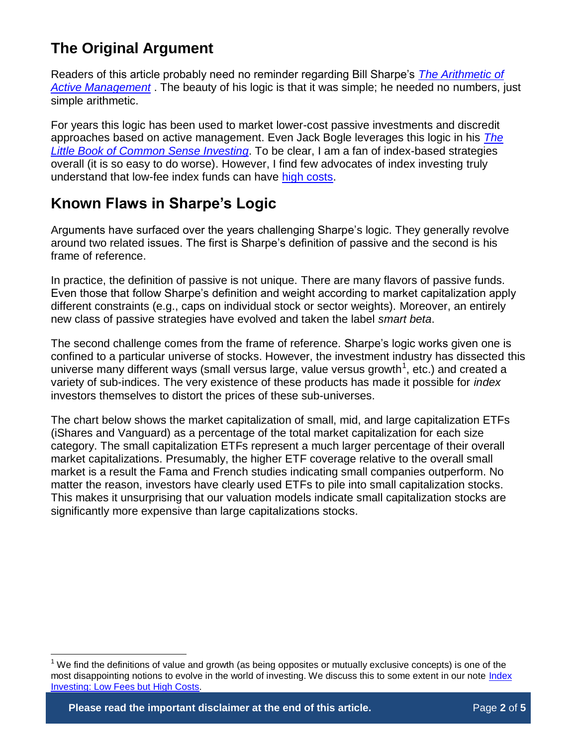## **The Original Argument**

Readers of this article probably need no reminder regarding Bill Sharpe's *[The Arithmetic of](https://web.stanford.edu/~wfsharpe/art/active/active.htm)  [Active Management](https://web.stanford.edu/~wfsharpe/art/active/active.htm)* . The beauty of his logic is that it was simple; he needed no numbers, just simple arithmetic.

For years this logic has been used to market lower-cost passive investments and discredit approaches based on active management. Even Jack Bogle leverages this logic in his *[The](https://www.amazon.com/Little-Book-Common-Sense-Investing-ebook/dp/B008W02TIG)  [Little Book of Common Sense Investing](https://www.amazon.com/Little-Book-Common-Sense-Investing-ebook/dp/B008W02TIG)*. To be clear, I am a fan of index-based strategies overall (it is so easy to do worse). However, I find few advocates of index investing truly understand that low-fee index funds can have [high costs.](http://www.aaronbraskcapital.com/research/low-fees-high-costs/)

## **Known Flaws in Sharpe's Logic**

Arguments have surfaced over the years challenging Sharpe's logic. They generally revolve around two related issues. The first is Sharpe's definition of passive and the second is his frame of reference.

In practice, the definition of passive is not unique. There are many flavors of passive funds. Even those that follow Sharpe's definition and weight according to market capitalization apply different constraints (e.g., caps on individual stock or sector weights). Moreover, an entirely new class of passive strategies have evolved and taken the label *smart beta*.

The second challenge comes from the frame of reference. Sharpe's logic works given one is confined to a particular universe of stocks. However, the investment industry has dissected this universe many different ways (small versus large, value versus growth<sup>1</sup>, etc.) and created a variety of sub-indices. The very existence of these products has made it possible for *index* investors themselves to distort the prices of these sub-universes.

The chart below shows the market capitalization of small, mid, and large capitalization ETFs (iShares and Vanguard) as a percentage of the total market capitalization for each size category. The small capitalization ETFs represent a much larger percentage of their overall market capitalizations. Presumably, the higher ETF coverage relative to the overall small market is a result the Fama and French studies indicating small companies outperform. No matter the reason, investors have clearly used ETFs to pile into small capitalization stocks. This makes it unsurprising that our valuation models indicate small capitalization stocks are significantly more expensive than large capitalizations stocks.

 $\overline{a}$ 

We find the definitions of value and growth (as being opposites or mutually exclusive concepts) is one of the most disappointing notions to evolve in the world of investing. We discuss this to some extent in our note *Index* [Investing: Low Fees but High Costs.](http://www.aaronbraskcapital.com/research/low-fees-high-costs/)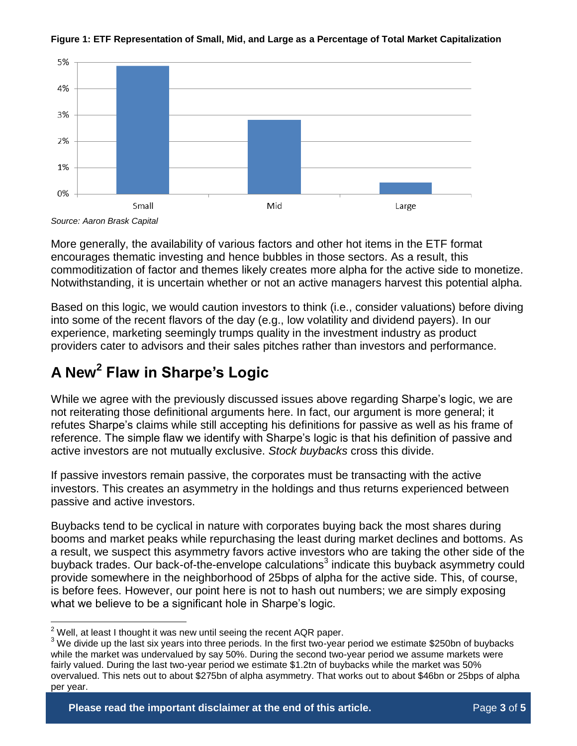

**Figure 1: ETF Representation of Small, Mid, and Large as a Percentage of Total Market Capitalization**

*Source: Aaron Brask Capital*

More generally, the availability of various factors and other hot items in the ETF format encourages thematic investing and hence bubbles in those sectors. As a result, this commoditization of factor and themes likely creates more alpha for the active side to monetize. Notwithstanding, it is uncertain whether or not an active managers harvest this potential alpha.

Based on this logic, we would caution investors to think (i.e., consider valuations) before diving into some of the recent flavors of the day (e.g., low volatility and dividend payers). In our experience, marketing seemingly trumps quality in the investment industry as product providers cater to advisors and their sales pitches rather than investors and performance.

## **A New<sup>2</sup> Flaw in Sharpe's Logic**

While we agree with the previously discussed issues above regarding Sharpe's logic, we are not reiterating those definitional arguments here. In fact, our argument is more general; it refutes Sharpe's claims while still accepting his definitions for passive as well as his frame of reference. The simple flaw we identify with Sharpe's logic is that his definition of passive and active investors are not mutually exclusive. *Stock buybacks* cross this divide.

If passive investors remain passive, the corporates must be transacting with the active investors. This creates an asymmetry in the holdings and thus returns experienced between passive and active investors.

Buybacks tend to be cyclical in nature with corporates buying back the most shares during booms and market peaks while repurchasing the least during market declines and bottoms. As a result, we suspect this asymmetry favors active investors who are taking the other side of the buyback trades. Our back-of-the-envelope calculations<sup>3</sup> indicate this buyback asymmetry could provide somewhere in the neighborhood of 25bps of alpha for the active side. This, of course, is before fees. However, our point here is not to hash out numbers; we are simply exposing what we believe to be a significant hole in Sharpe's logic.

 $\overline{a}$  $2$  Well, at least I thought it was new until seeing the recent AQR paper.

 $3$  We divide up the last six years into three periods. In the first two-year period we estimate \$250bn of buybacks while the market was undervalued by say 50%. During the second two-year period we assume markets were fairly valued. During the last two-year period we estimate \$1.2tn of buybacks while the market was 50% overvalued. This nets out to about \$275bn of alpha asymmetry. That works out to about \$46bn or 25bps of alpha per year.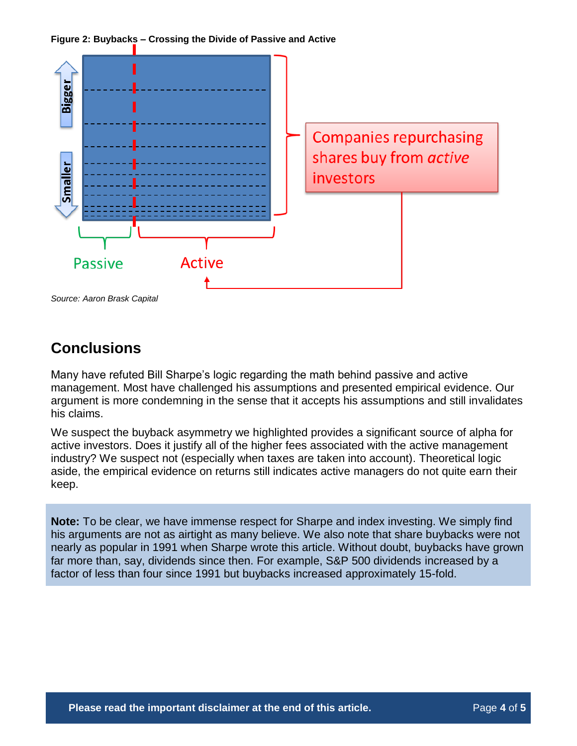**Figure 2: Buybacks – Crossing the Divide of Passive and Active**



*Source: Aaron Brask Capital*

#### **Conclusions**

Many have refuted Bill Sharpe's logic regarding the math behind passive and active management. Most have challenged his assumptions and presented empirical evidence. Our argument is more condemning in the sense that it accepts his assumptions and still invalidates his claims.

We suspect the buyback asymmetry we highlighted provides a significant source of alpha for active investors. Does it justify all of the higher fees associated with the active management industry? We suspect not (especially when taxes are taken into account). Theoretical logic aside, the empirical evidence on returns still indicates active managers do not quite earn their keep.

**Note:** To be clear, we have immense respect for Sharpe and index investing. We simply find his arguments are not as airtight as many believe. We also note that share buybacks were not nearly as popular in 1991 when Sharpe wrote this article. Without doubt, buybacks have grown far more than, say, dividends since then. For example, S&P 500 dividends increased by a factor of less than four since 1991 but buybacks increased approximately 15-fold.